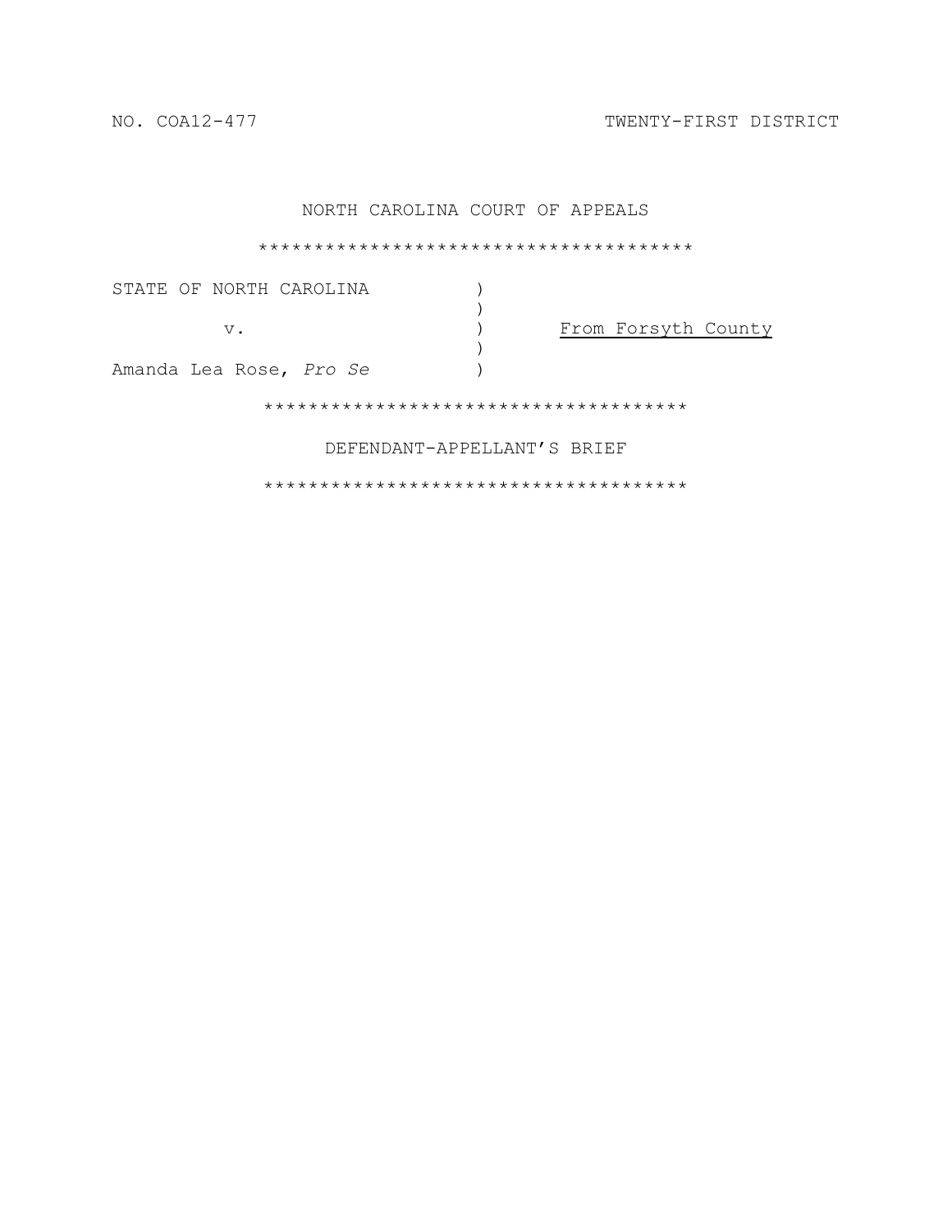NO. COA12-477 TWENTY-FIRST DISTRICT

| NORTH CAROLINA COURT OF APPEALS |  |
|---------------------------------|--|
|                                 |  |
|                                 |  |

STATE OF NORTH CAROLINA  $)$ )<br> $)$ v. ) From Forsyth County ) Amanda Lea Rose, *Pro Se* ) \*\*\*\*\*\*\*\*\*\*\*\*\*\*\*\*\*\*\*\*\*\*\*\*\*\*\*\*\*\*\*\*\*\*\*\*\*\*

DEFENDANT-APPELLANT'S BRIEF

\*\*\*\*\*\*\*\*\*\*\*\*\*\*\*\*\*\*\*\*\*\*\*\*\*\*\*\*\*\*\*\*\*\*\*\*\*\*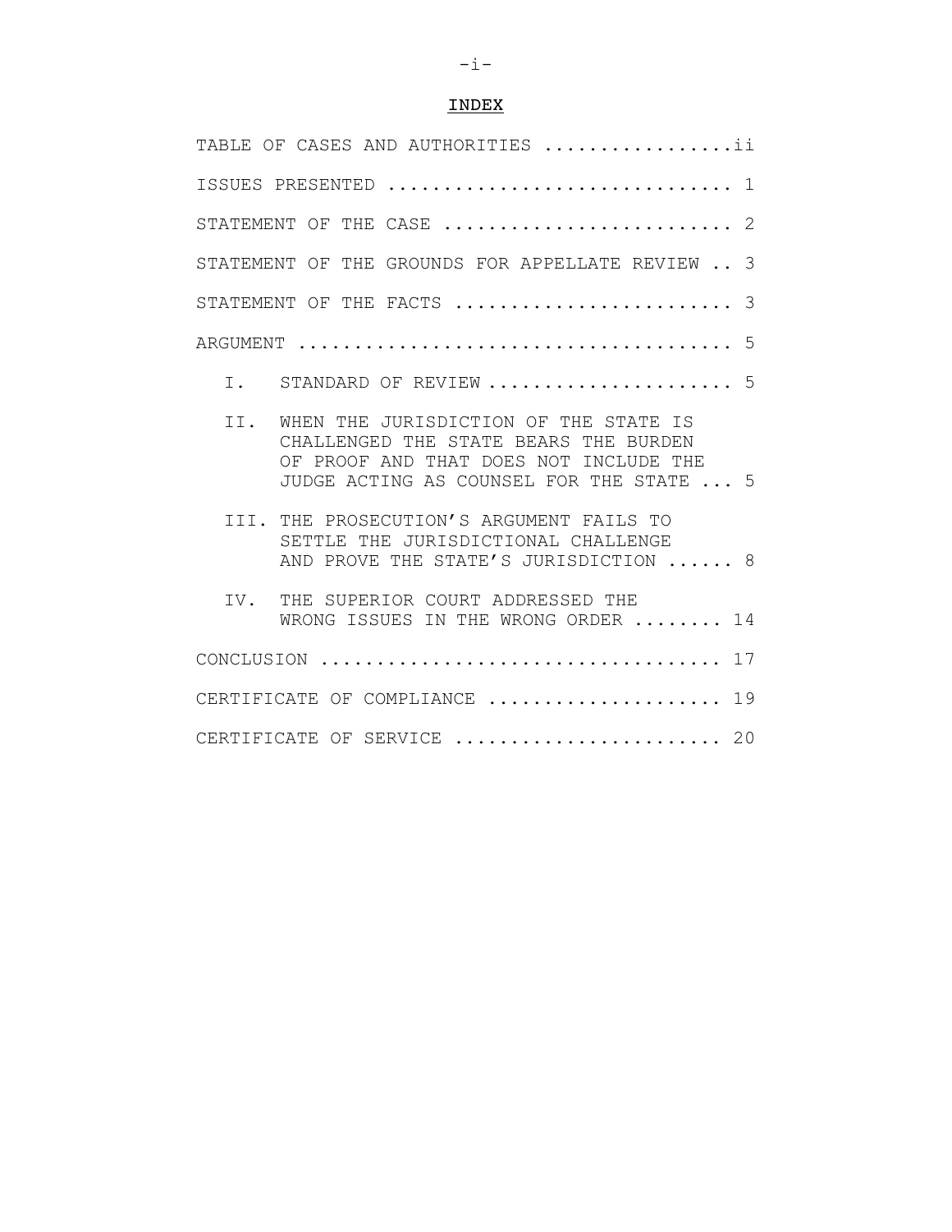# INDEX

| TABLE OF CASES AND AUTHORITIES ii                                                                                                                                           |  |  |  |  |  |
|-----------------------------------------------------------------------------------------------------------------------------------------------------------------------------|--|--|--|--|--|
| ISSUES PRESENTED  1                                                                                                                                                         |  |  |  |  |  |
| STATEMENT OF THE CASE<br>2                                                                                                                                                  |  |  |  |  |  |
| STATEMENT OF THE GROUNDS FOR APPELLATE REVIEW  3                                                                                                                            |  |  |  |  |  |
| STATEMENT OF THE FACTS<br>3                                                                                                                                                 |  |  |  |  |  |
| .5                                                                                                                                                                          |  |  |  |  |  |
| STANDARD OF REVIEW  5<br>T.                                                                                                                                                 |  |  |  |  |  |
| WHEN THE JURISDICTION OF THE STATE IS<br>TT.<br>CHALLENGED THE STATE BEARS THE BURDEN<br>OF PROOF AND THAT DOES NOT INCLUDE THE<br>JUDGE ACTING AS COUNSEL FOR THE STATE  5 |  |  |  |  |  |
| III. THE PROSECUTION'S ARGUMENT FAILS TO<br>SETTLE THE JURISDICTIONAL CHALLENGE<br>AND PROVE THE STATE'S JURISDICTION  8                                                    |  |  |  |  |  |
| THE SUPERIOR COURT ADDRESSED THE<br>TV.<br>WRONG ISSUES IN THE WRONG ORDER $\ldots \ldots 14$                                                                               |  |  |  |  |  |
|                                                                                                                                                                             |  |  |  |  |  |
| CERTIFICATE OF COMPLIANCE  19                                                                                                                                               |  |  |  |  |  |
| CERTIFICATE OF SERVICE  20                                                                                                                                                  |  |  |  |  |  |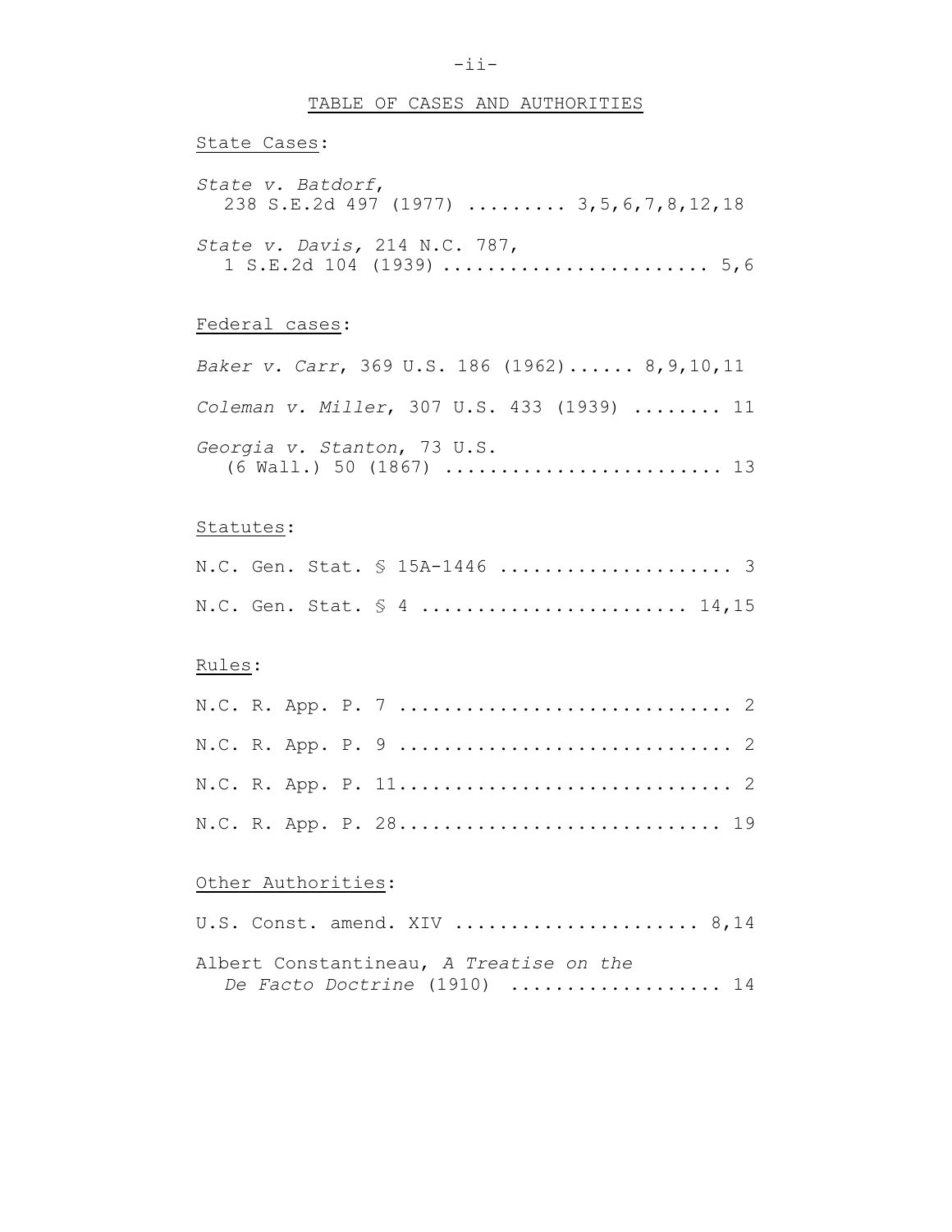### TABLE OF CASES AND AUTHORITIES

# State Cases: *State v. Batdorf*, 238 S.E.2d 497 (1977) ......... 3,5,6,7,8,12,18 *State v. Davis,* 214 N.C. 787, 1 S.E.2d 104 (1939) ........................ 5,6

### Federal cases:

*Baker v. Carr*, 369 U.S. 186 (1962)...... 8,9,10,11 *Coleman v. Miller*, 307 U.S. 433 (1939) ........ 11 *Georgia v. Stanton*, 73 U.S. (6 Wall.) 50 (1867) ......................... 13

#### Statutes:

|  |  | N.C. Gen. Stat. § 4  14,15 |  |
|--|--|----------------------------|--|

### Rules:

|  |  | N.C. R. App. P. 28 19 |  |
|--|--|-----------------------|--|

### Other Authorities:

|  | U.S. Const. amend. XIV  8,14            |  |
|--|-----------------------------------------|--|
|  | Albert Constantineau, A Treatise on the |  |
|  | De Facto Doctrine (1910)  14            |  |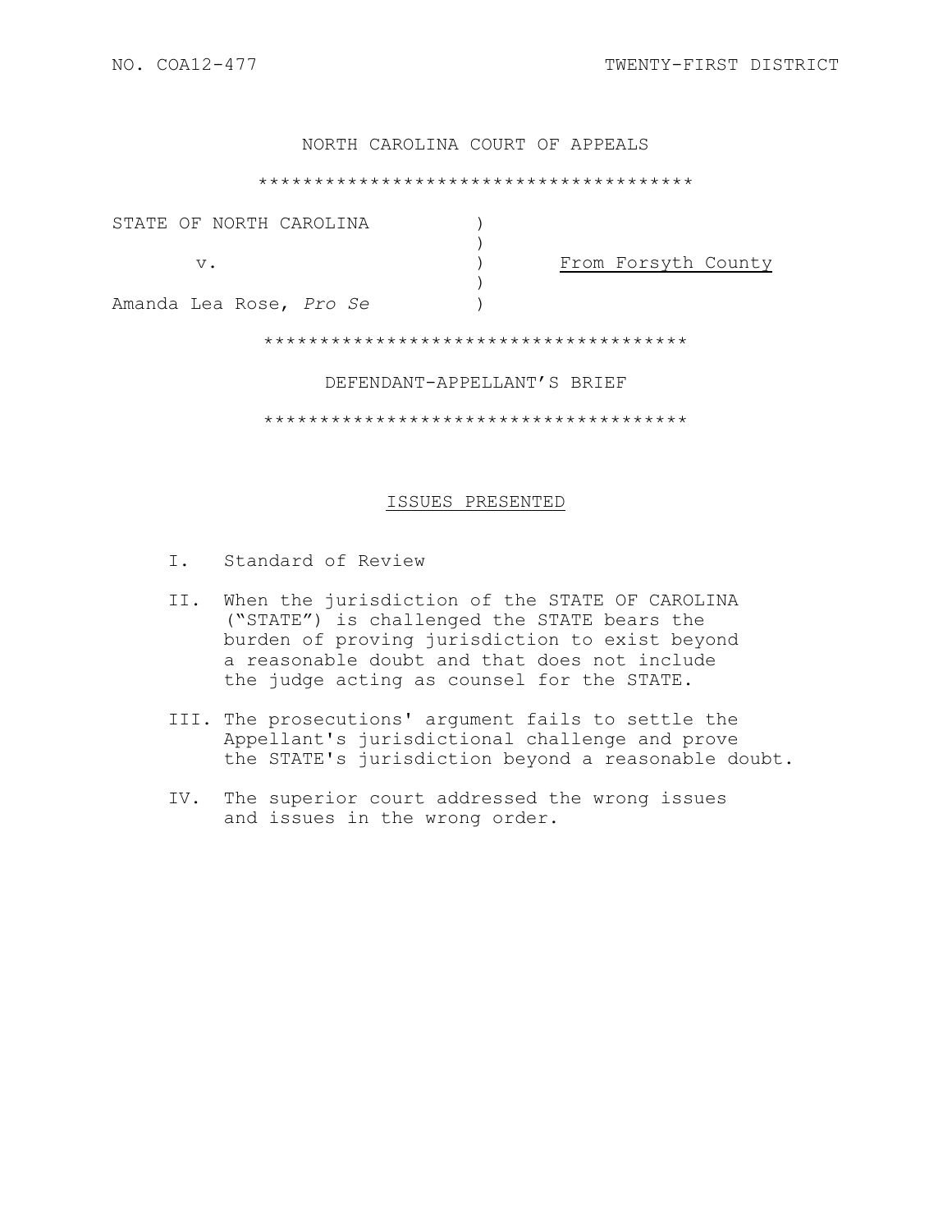## NORTH CAROLINA COURT OF APPEALS

#### \*\*\*\*\*\*\*\*\*\*\*\*\*\*\*\*\*\*\*\*\*\*\*\*\*\*\*\*\*\*\*\*\*\*\*\*\*\*\*

| STATE OF NORTH CAROLINA |                     |
|-------------------------|---------------------|
| v.                      | From Forsyth County |
| Amanda Lea Rose, Pro Se |                     |

\*\*\*\*\*\*\*\*\*\*\*\*\*\*\*\*\*\*\*\*\*\*\*\*\*\*\*\*\*\*\*\*\*\*\*\*\*\*

#### DEFENDANT-APPELLANT'S BRIEF

\*\*\*\*\*\*\*\*\*\*\*\*\*\*\*\*\*\*\*\*\*\*\*\*\*\*\*\*\*\*\*\*\*\*\*\*\*\*

#### ISSUES PRESENTED

- I. Standard of Review
- II. When the jurisdiction of the STATE OF CAROLINA ("STATE") is challenged the STATE bears the burden of proving jurisdiction to exist beyond a reasonable doubt and that does not include the judge acting as counsel for the STATE.
- III. The prosecutions' argument fails to settle the Appellant's jurisdictional challenge and prove the STATE's jurisdiction beyond a reasonable doubt.
- IV. The superior court addressed the wrong issues and issues in the wrong order.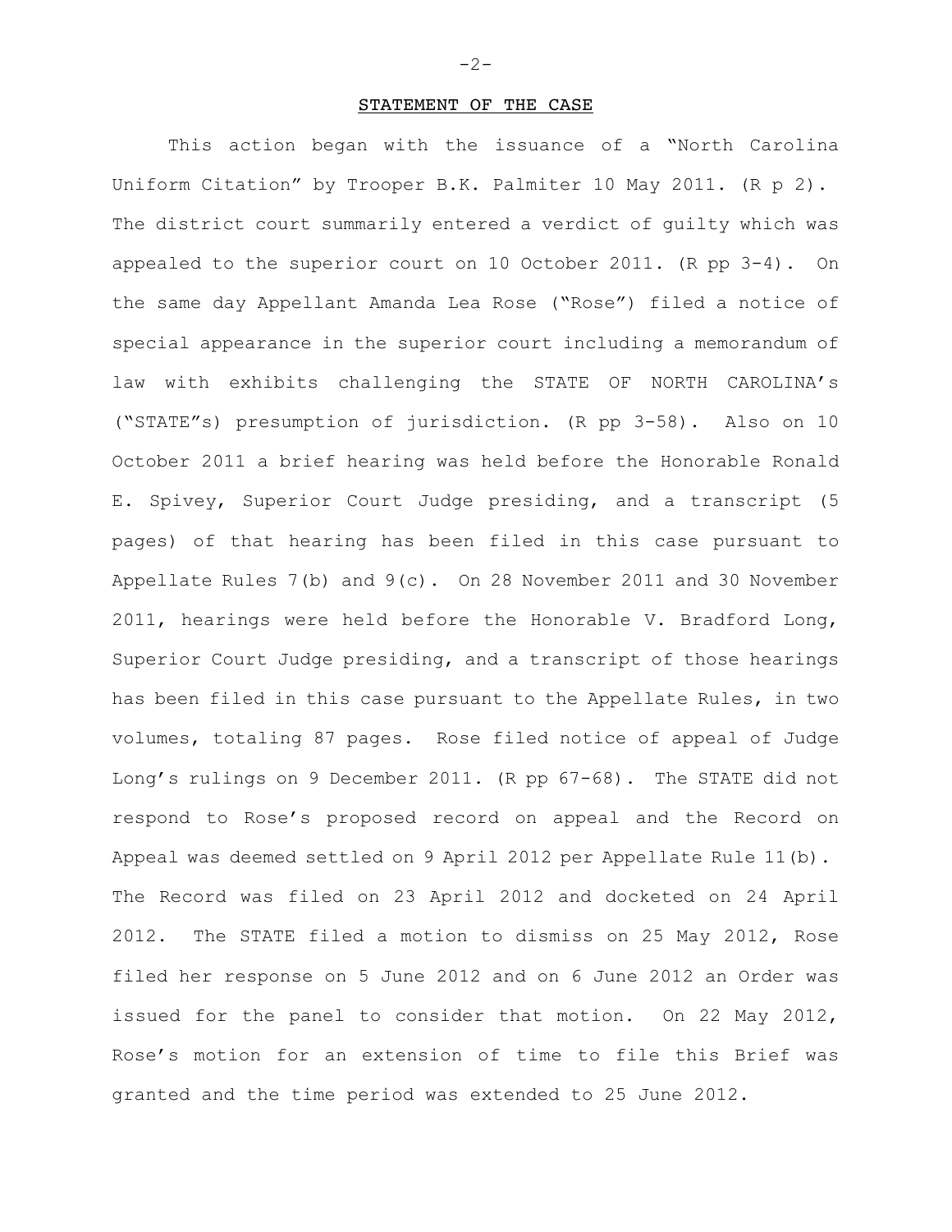#### STATEMENT OF THE CASE

This action began with the issuance of a "North Carolina Uniform Citation" by Trooper B.K. Palmiter 10 May 2011. (R p 2). The district court summarily entered a verdict of guilty which was appealed to the superior court on 10 October 2011. (R pp 3-4). On the same day Appellant Amanda Lea Rose ("Rose") filed a notice of special appearance in the superior court including a memorandum of law with exhibits challenging the STATE OF NORTH CAROLINA's ("STATE"s) presumption of jurisdiction. (R pp 3-58). Also on 10 October 2011 a brief hearing was held before the Honorable Ronald E. Spivey, Superior Court Judge presiding, and a transcript (5 pages) of that hearing has been filed in this case pursuant to Appellate Rules 7(b) and 9(c). On 28 November 2011 and 30 November 2011, hearings were held before the Honorable V. Bradford Long, Superior Court Judge presiding, and a transcript of those hearings has been filed in this case pursuant to the Appellate Rules, in two volumes, totaling 87 pages. Rose filed notice of appeal of Judge Long's rulings on 9 December 2011. (R pp 67-68). The STATE did not respond to Rose's proposed record on appeal and the Record on Appeal was deemed settled on 9 April 2012 per Appellate Rule 11(b). The Record was filed on 23 April 2012 and docketed on 24 April 2012. The STATE filed a motion to dismiss on 25 May 2012, Rose filed her response on 5 June 2012 and on 6 June 2012 an Order was issued for the panel to consider that motion. On 22 May 2012, Rose's motion for an extension of time to file this Brief was granted and the time period was extended to 25 June 2012.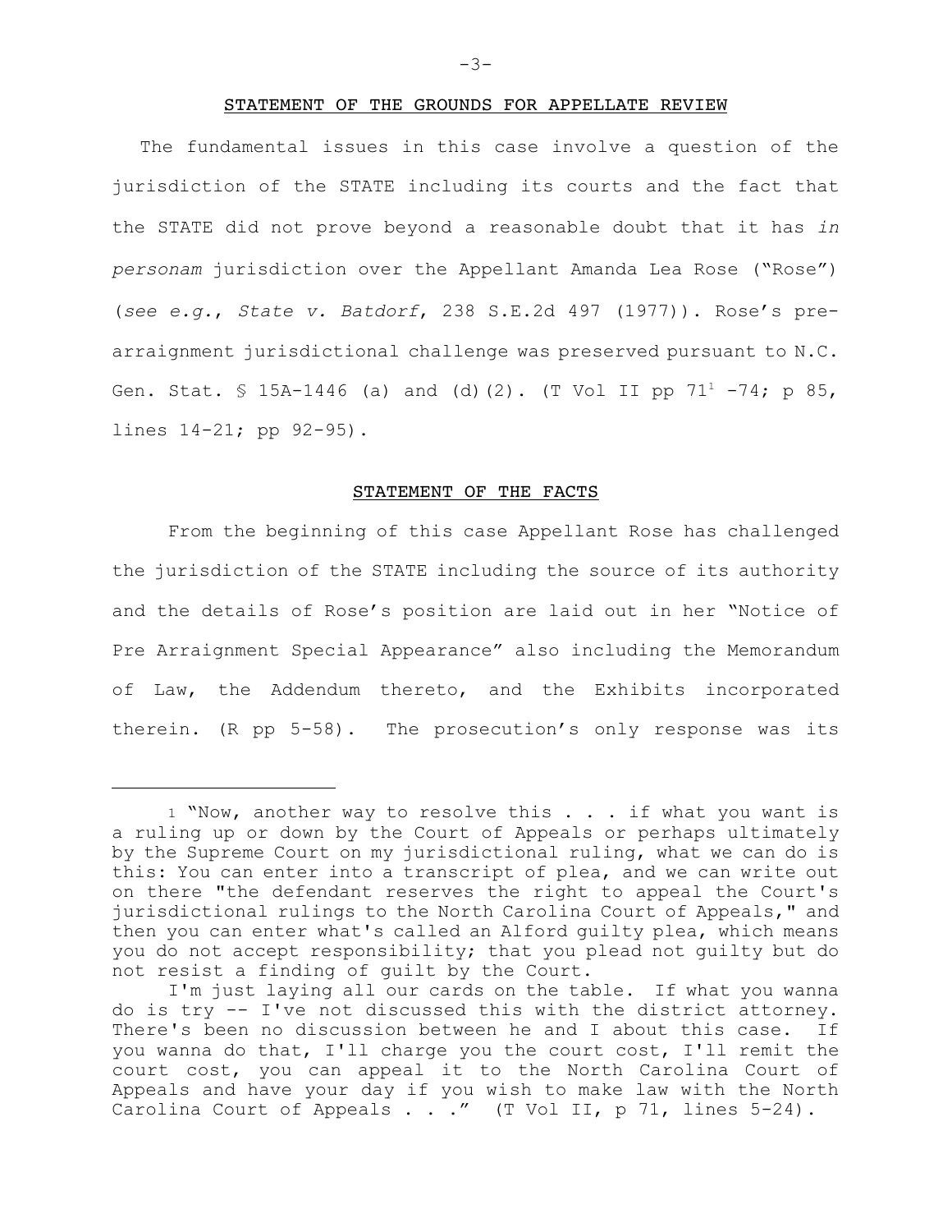#### STATEMENT OF THE GROUNDS FOR APPELLATE REVIEW

The fundamental issues in this case involve a question of the jurisdiction of the STATE including its courts and the fact that the STATE did not prove beyond a reasonable doubt that it has *in personam* jurisdiction over the Appellant Amanda Lea Rose ("Rose") (*see e.g.*, *State v. Batdorf*, 238 S.E.2d 497 (1977)). Rose's prearraignment jurisdictional challenge was preserved pursuant to N.C. Gen. Stat. § 15A-1446 (a) and (d)(2). (T Vol II pp 71<sup>1</sup> -74; p 85, lines 14-21; pp 92-95).

#### STATEMENT OF THE FACTS

From the beginning of this case Appellant Rose has challenged the jurisdiction of the STATE including the source of its authority and the details of Rose's position are laid out in her "Notice of Pre Arraignment Special Appearance" also including the Memorandum of Law, the Addendum thereto, and the Exhibits incorporated therein. (R pp 5-58). The prosecution's only response was its

<sup>1 &</sup>quot;Now, another way to resolve this . . . if what you want is a ruling up or down by the Court of Appeals or perhaps ultimately by the Supreme Court on my jurisdictional ruling, what we can do is this: You can enter into a transcript of plea, and we can write out on there "the defendant reserves the right to appeal the Court's jurisdictional rulings to the North Carolina Court of Appeals," and then you can enter what's called an Alford guilty plea, which means you do not accept responsibility; that you plead not guilty but do not resist a finding of guilt by the Court.

I'm just laying all our cards on the table. If what you wanna do is try -- I've not discussed this with the district attorney. There's been no discussion between he and I about this case. If you wanna do that, I'll charge you the court cost, I'll remit the court cost, you can appeal it to the North Carolina Court of Appeals and have your day if you wish to make law with the North Carolina Court of Appeals . . ." (T Vol II, p 71, lines 5-24).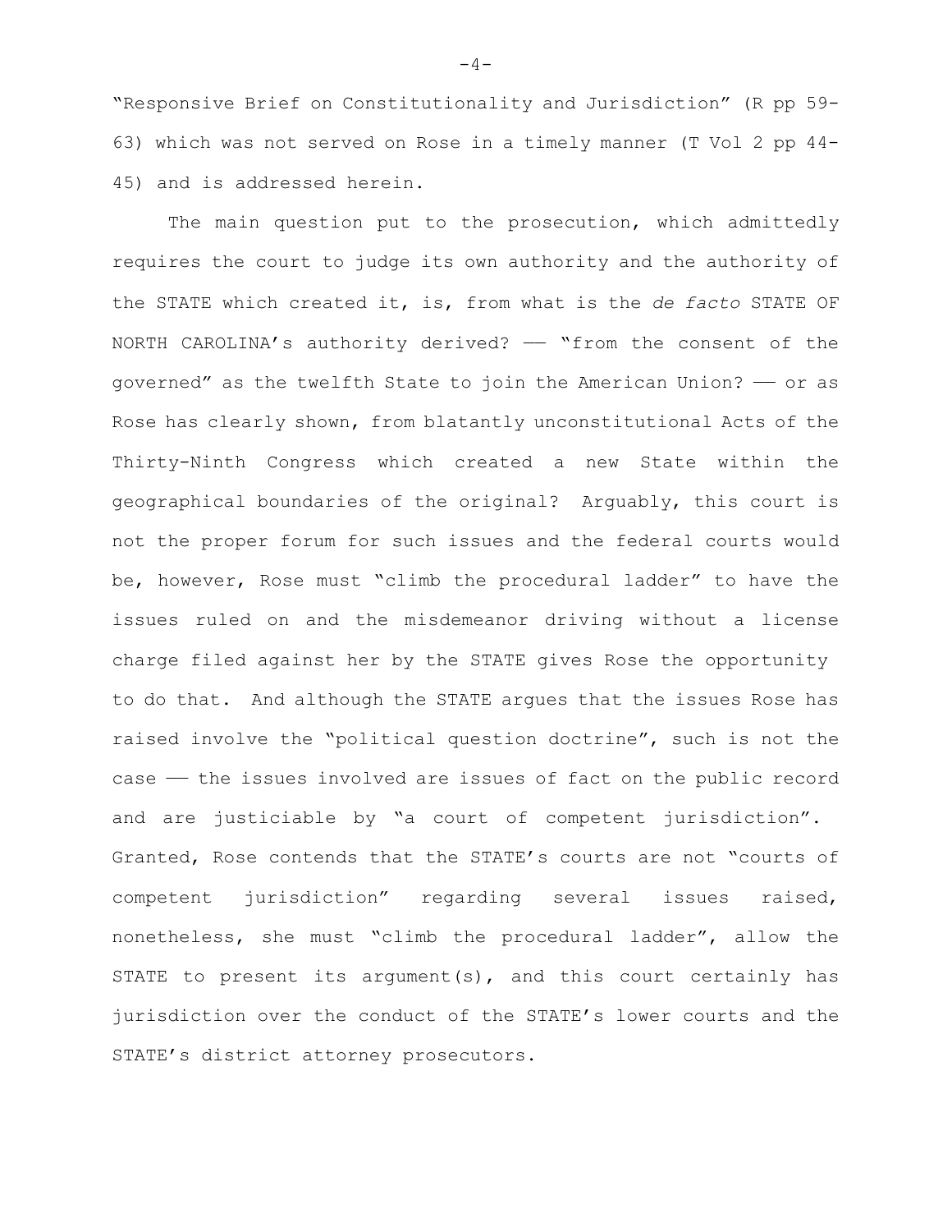"Responsive Brief on Constitutionality and Jurisdiction" (R pp 59- 63) which was not served on Rose in a timely manner (T Vol 2 pp 44- 45) and is addressed herein.

The main question put to the prosecution, which admittedly requires the court to judge its own authority and the authority of the STATE which created it, is, from what is the *de facto* STATE OF NORTH CAROLINA's authority derived? - "from the consent of the governed" as the twelfth State to join the American Union? —— or as Rose has clearly shown, from blatantly unconstitutional Acts of the Thirty-Ninth Congress which created a new State within the geographical boundaries of the original? Arguably, this court is not the proper forum for such issues and the federal courts would be, however, Rose must "climb the procedural ladder" to have the issues ruled on and the misdemeanor driving without a license charge filed against her by the STATE gives Rose the opportunity to do that. And although the STATE argues that the issues Rose has raised involve the "political question doctrine", such is not the case — the issues involved are issues of fact on the public record and are justiciable by "a court of competent jurisdiction". Granted, Rose contends that the STATE's courts are not "courts of competent jurisdiction" regarding several issues raised, nonetheless, she must "climb the procedural ladder", allow the STATE to present its argument(s), and this court certainly has jurisdiction over the conduct of the STATE's lower courts and the STATE's district attorney prosecutors.

 $-4-$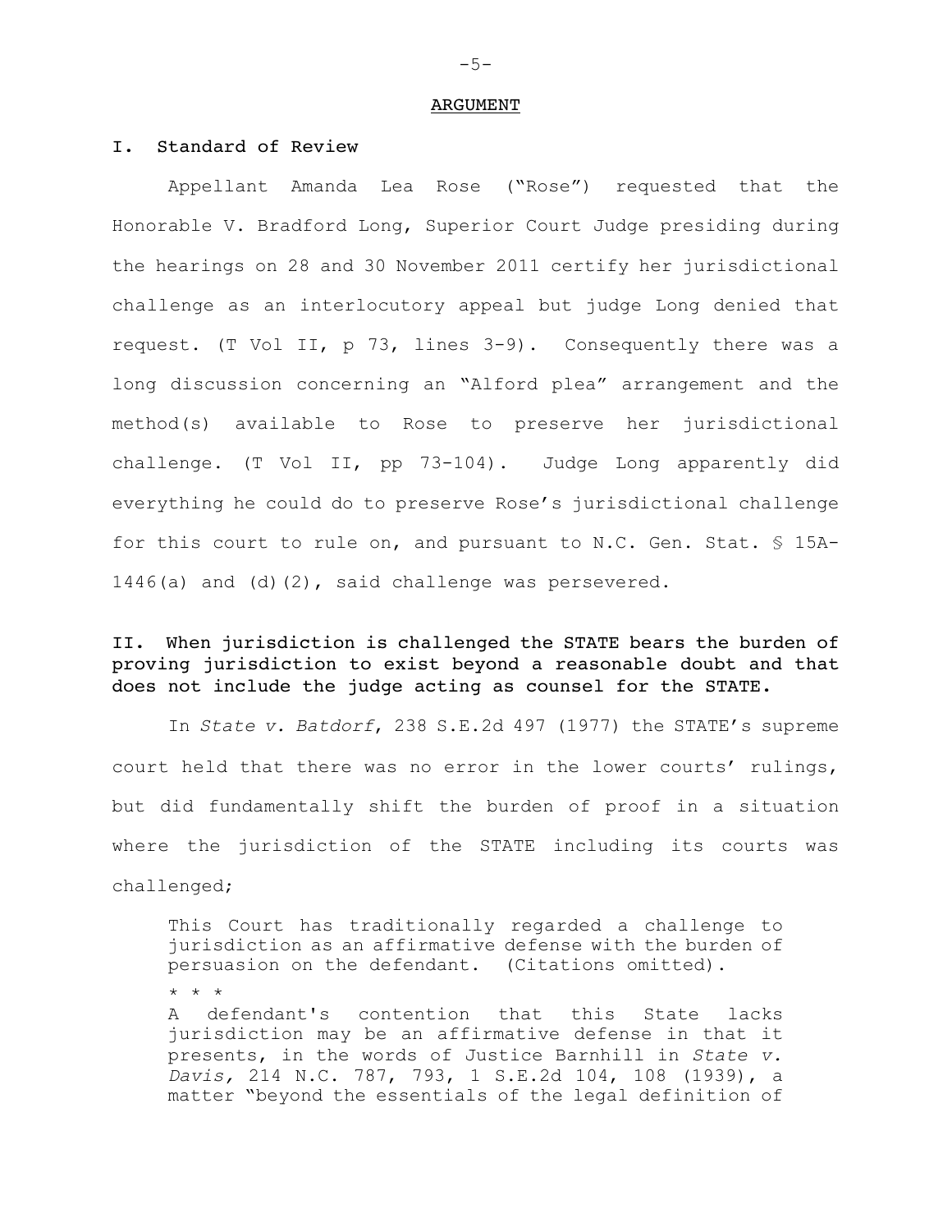#### ARGUMENT

# I. Standard of Review

Appellant Amanda Lea Rose ("Rose") requested that the Honorable V. Bradford Long, Superior Court Judge presiding during the hearings on 28 and 30 November 2011 certify her jurisdictional challenge as an interlocutory appeal but judge Long denied that request. (T Vol II, p 73, lines 3-9). Consequently there was a long discussion concerning an "Alford plea" arrangement and the method(s) available to Rose to preserve her jurisdictional challenge. (T Vol II, pp 73-104). Judge Long apparently did everything he could do to preserve Rose's jurisdictional challenge for this court to rule on, and pursuant to N.C. Gen. Stat.  $$$  15A-1446(a) and (d)(2), said challenge was persevered.

# II. When jurisdiction is challenged the STATE bears the burden of proving jurisdiction to exist beyond a reasonable doubt and that does not include the judge acting as counsel for the STATE.

In *State v. Batdorf*, 238 S.E.2d 497 (1977) the STATE's supreme court held that there was no error in the lower courts' rulings, but did fundamentally shift the burden of proof in a situation where the jurisdiction of the STATE including its courts was challenged;

This Court has traditionally regarded a challenge to jurisdiction as an affirmative defense with the burden of persuasion on the defendant. (Citations omitted). \* \* \* A defendant's contention that this State lacks jurisdiction may be an affirmative defense in that it presents, in the words of Justice Barnhill in *State v. Davis,* 214 N.C. 787, 793, 1 S.E.2d 104, 108 (1939), a matter "beyond the essentials of the legal definition of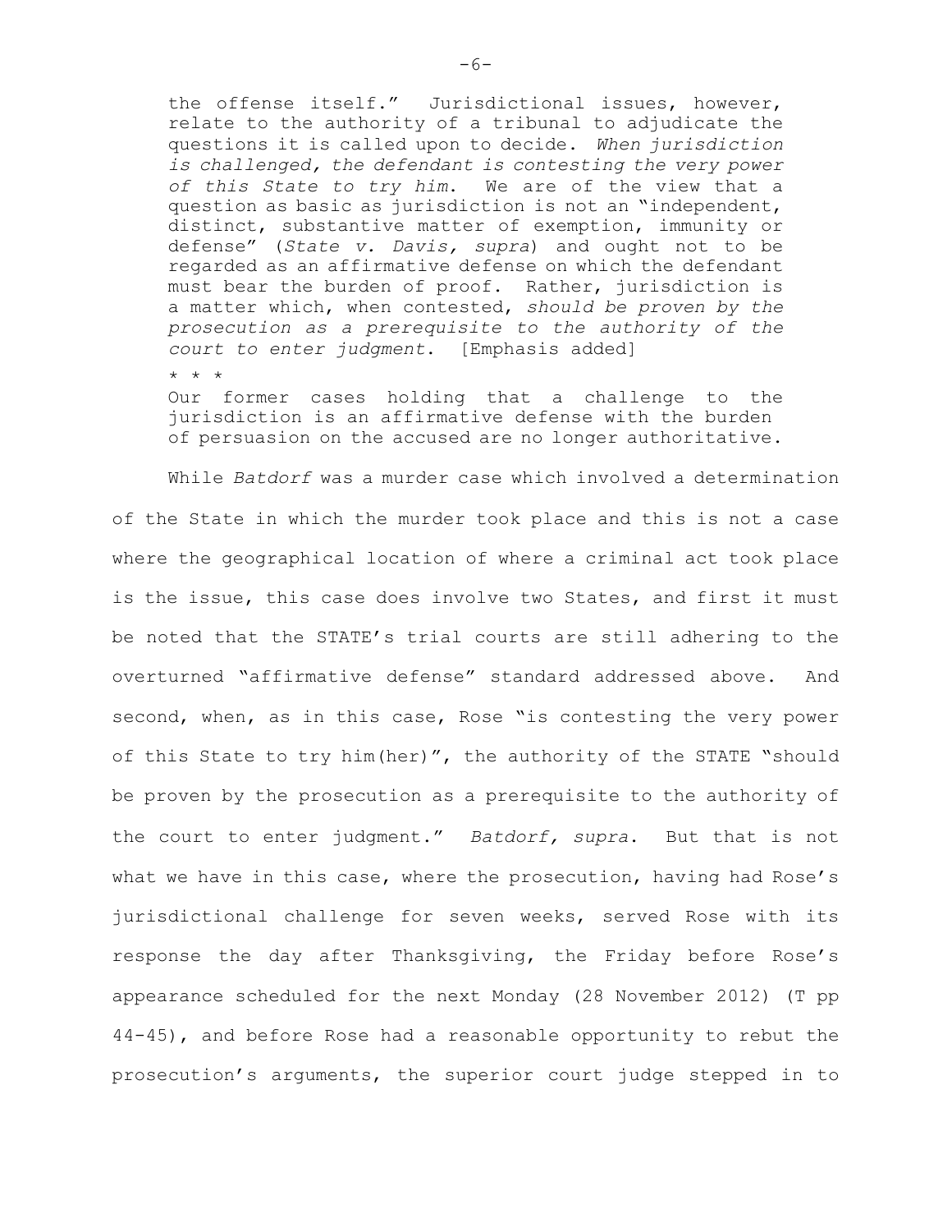the offense itself." Jurisdictional issues, however, relate to the authority of a tribunal to adjudicate the questions it is called upon to decide. *When jurisdiction is challenged, the defendant is contesting the very power of this State to try him*. We are of the view that a question as basic as jurisdiction is not an "independent, distinct, substantive matter of exemption, immunity or defense" (*State v. Davis, supra*) and ought not to be regarded as an affirmative defense on which the defendant must bear the burden of proof. Rather, jurisdiction is a matter which, when contested, *should be proven by the prosecution as a prerequisite to the authority of the court to enter judgment*. [Emphasis added]

\* \* \*

Our former cases holding that a challenge to the jurisdiction is an affirmative defense with the burden of persuasion on the accused are no longer authoritative.

While *Batdorf* was a murder case which involved a determination of the State in which the murder took place and this is not a case where the geographical location of where a criminal act took place is the issue, this case does involve two States, and first it must be noted that the STATE's trial courts are still adhering to the overturned "affirmative defense" standard addressed above. And second, when, as in this case, Rose "is contesting the very power of this State to try him(her)", the authority of the STATE "should be proven by the prosecution as a prerequisite to the authority of the court to enter judgment." *Batdorf, supra*. But that is not what we have in this case, where the prosecution, having had Rose's jurisdictional challenge for seven weeks, served Rose with its response the day after Thanksgiving, the Friday before Rose's appearance scheduled for the next Monday (28 November 2012) (T pp 44-45), and before Rose had a reasonable opportunity to rebut the prosecution's arguments, the superior court judge stepped in to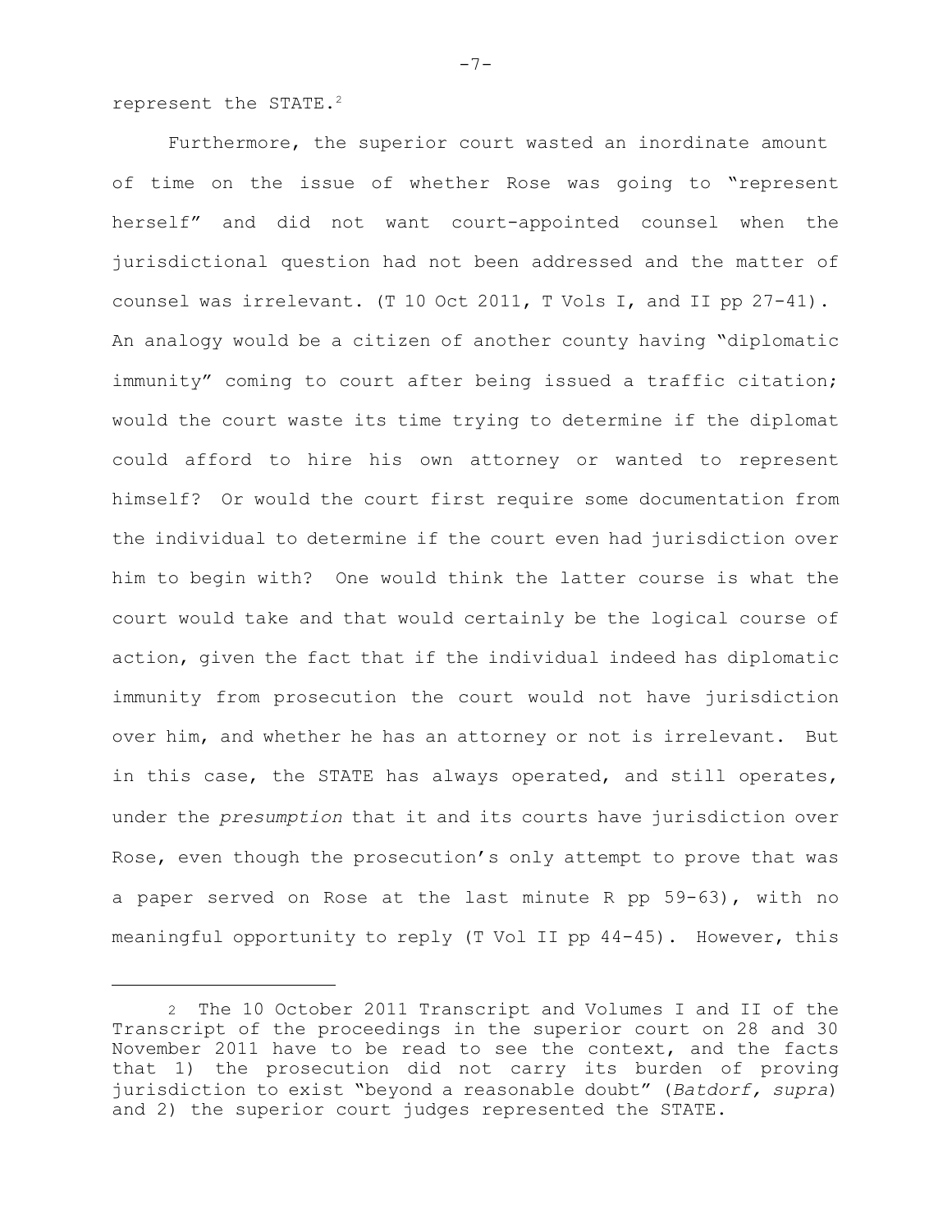represent the STATE.<sup>2</sup>

 Furthermore, the superior court wasted an inordinate amount of time on the issue of whether Rose was going to "represent herself" and did not want court-appointed counsel when the jurisdictional question had not been addressed and the matter of counsel was irrelevant. (T 10 Oct 2011, T Vols I, and II pp 27-41). An analogy would be a citizen of another county having "diplomatic immunity" coming to court after being issued a traffic citation; would the court waste its time trying to determine if the diplomat could afford to hire his own attorney or wanted to represent himself? Or would the court first require some documentation from the individual to determine if the court even had jurisdiction over him to begin with? One would think the latter course is what the court would take and that would certainly be the logical course of action, given the fact that if the individual indeed has diplomatic immunity from prosecution the court would not have jurisdiction over him, and whether he has an attorney or not is irrelevant. But in this case, the STATE has always operated, and still operates, under the *presumption* that it and its courts have jurisdiction over Rose, even though the prosecution's only attempt to prove that was a paper served on Rose at the last minute R pp 59-63), with no meaningful opportunity to reply (T Vol II pp 44-45). However, this

 $-7-$ 

<sup>2</sup> The 10 October 2011 Transcript and Volumes I and II of the Transcript of the proceedings in the superior court on 28 and 30 November 2011 have to be read to see the context, and the facts that 1) the prosecution did not carry its burden of proving jurisdiction to exist "beyond a reasonable doubt" (*Batdorf, supra*) and 2) the superior court judges represented the STATE.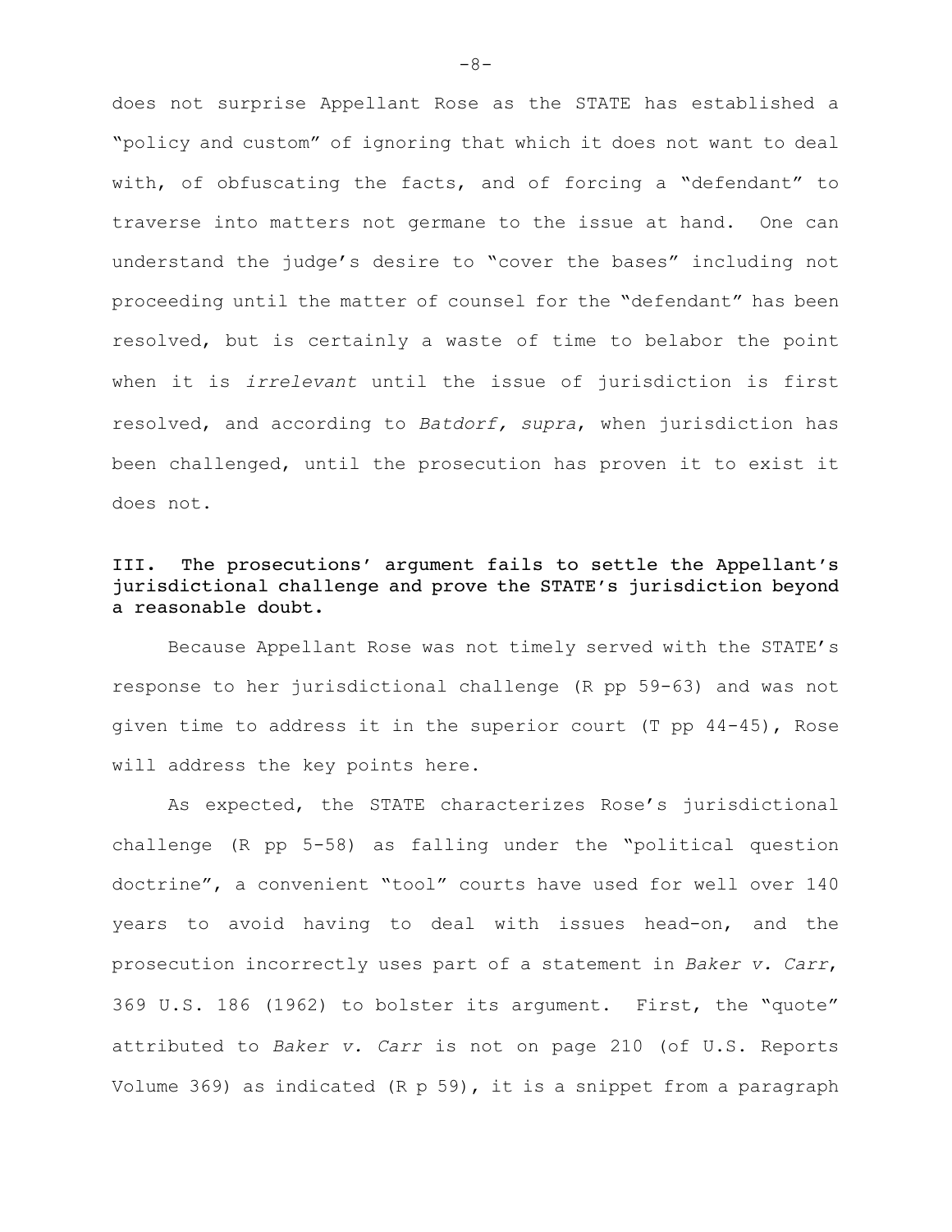does not surprise Appellant Rose as the STATE has established a "policy and custom" of ignoring that which it does not want to deal with, of obfuscating the facts, and of forcing a "defendant" to traverse into matters not germane to the issue at hand. One can understand the judge's desire to "cover the bases" including not proceeding until the matter of counsel for the "defendant" has been resolved, but is certainly a waste of time to belabor the point when it is *irrelevant* until the issue of jurisdiction is first resolved, and according to *Batdorf, supra*, when jurisdiction has been challenged, until the prosecution has proven it to exist it does not.

# III. The prosecutions' argument fails to settle the Appellant's jurisdictional challenge and prove the STATE's jurisdiction beyond a reasonable doubt.

Because Appellant Rose was not timely served with the STATE's response to her jurisdictional challenge (R pp 59-63) and was not given time to address it in the superior court (T pp 44-45), Rose will address the key points here.

As expected, the STATE characterizes Rose's jurisdictional challenge (R pp 5-58) as falling under the "political question doctrine", a convenient "tool" courts have used for well over 140 years to avoid having to deal with issues head-on, and the prosecution incorrectly uses part of a statement in *Baker v. Carr*, 369 U.S. 186 (1962) to bolster its argument. First, the "quote" attributed to *Baker v. Carr* is not on page 210 (of U.S. Reports Volume 369) as indicated (R p 59), it is a snippet from a paragraph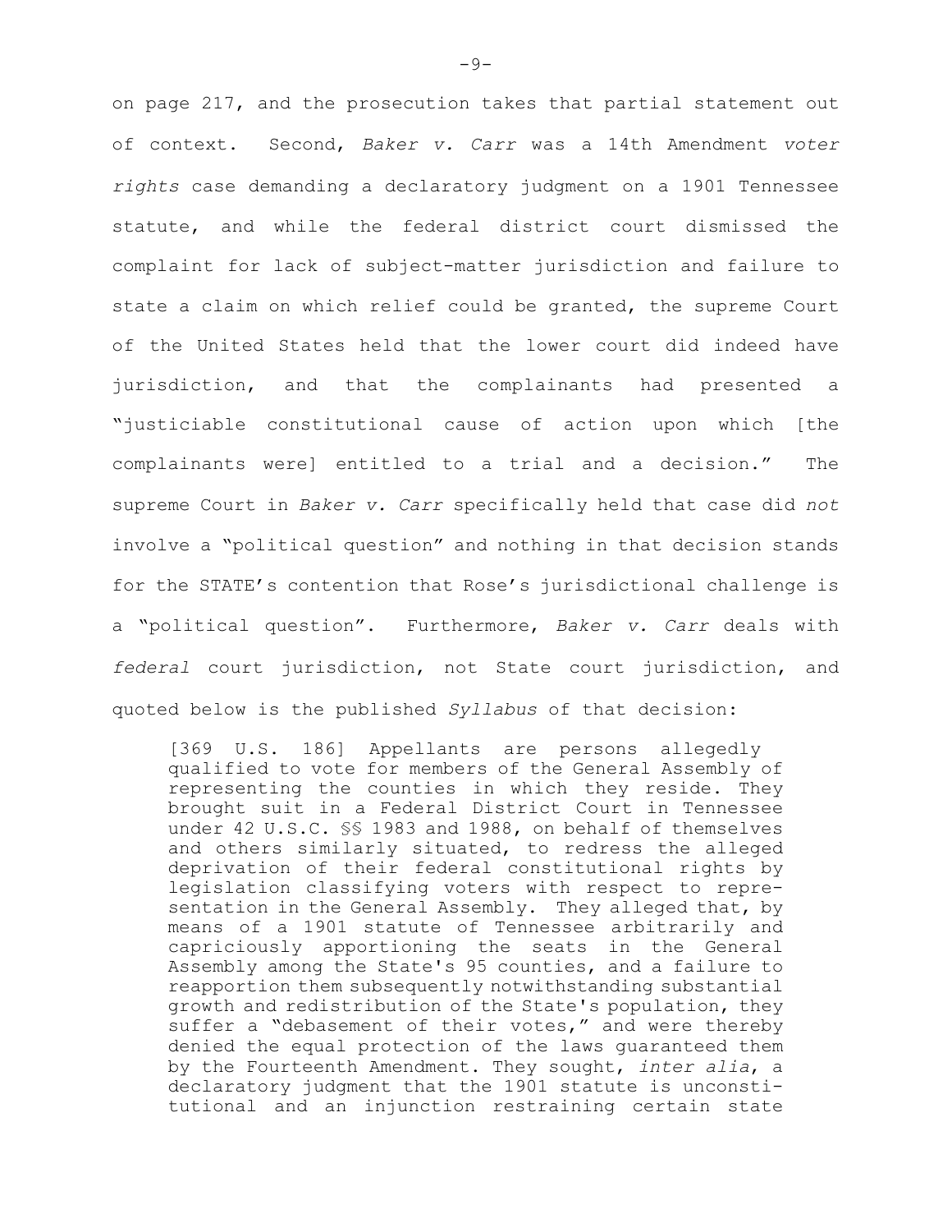on page 217, and the prosecution takes that partial statement out of context. Second, *Baker v. Carr* was a 14th Amendment *voter rights* case demanding a declaratory judgment on a 1901 Tennessee statute, and while the federal district court dismissed the complaint for lack of subject-matter jurisdiction and failure to state a claim on which relief could be granted, the supreme Court of the United States held that the lower court did indeed have jurisdiction, and that the complainants had presented a "justiciable constitutional cause of action upon which [the complainants were] entitled to a trial and a decision." The supreme Court in *Baker v. Carr* specifically held that case did *not* involve a "political question" and nothing in that decision stands for the STATE's contention that Rose's jurisdictional challenge is a "political question". Furthermore, *Baker v. Carr* deals with *federal* court jurisdiction, not State court jurisdiction, and quoted below is the published *Syllabus* of that decision:

[369 U.S. 186] Appellants are persons allegedly qualified to vote for members of the General Assembly of representing the counties in which they reside. They brought suit in a Federal District Court in Tennessee under 42 U.S.C. §§ 1983 and 1988, on behalf of themselves and others similarly situated, to redress the alleged deprivation of their federal constitutional rights by legislation classifying voters with respect to representation in the General Assembly. They alleged that, by means of a 1901 statute of Tennessee arbitrarily and capriciously apportioning the seats in the General Assembly among the State's 95 counties, and a failure to reapportion them subsequently notwithstanding substantial growth and redistribution of the State's population, they suffer a "debasement of their votes," and were thereby denied the equal protection of the laws guaranteed them by the Fourteenth Amendment. They sought, *inter alia*, a declaratory judgment that the 1901 statute is unconstitutional and an injunction restraining certain state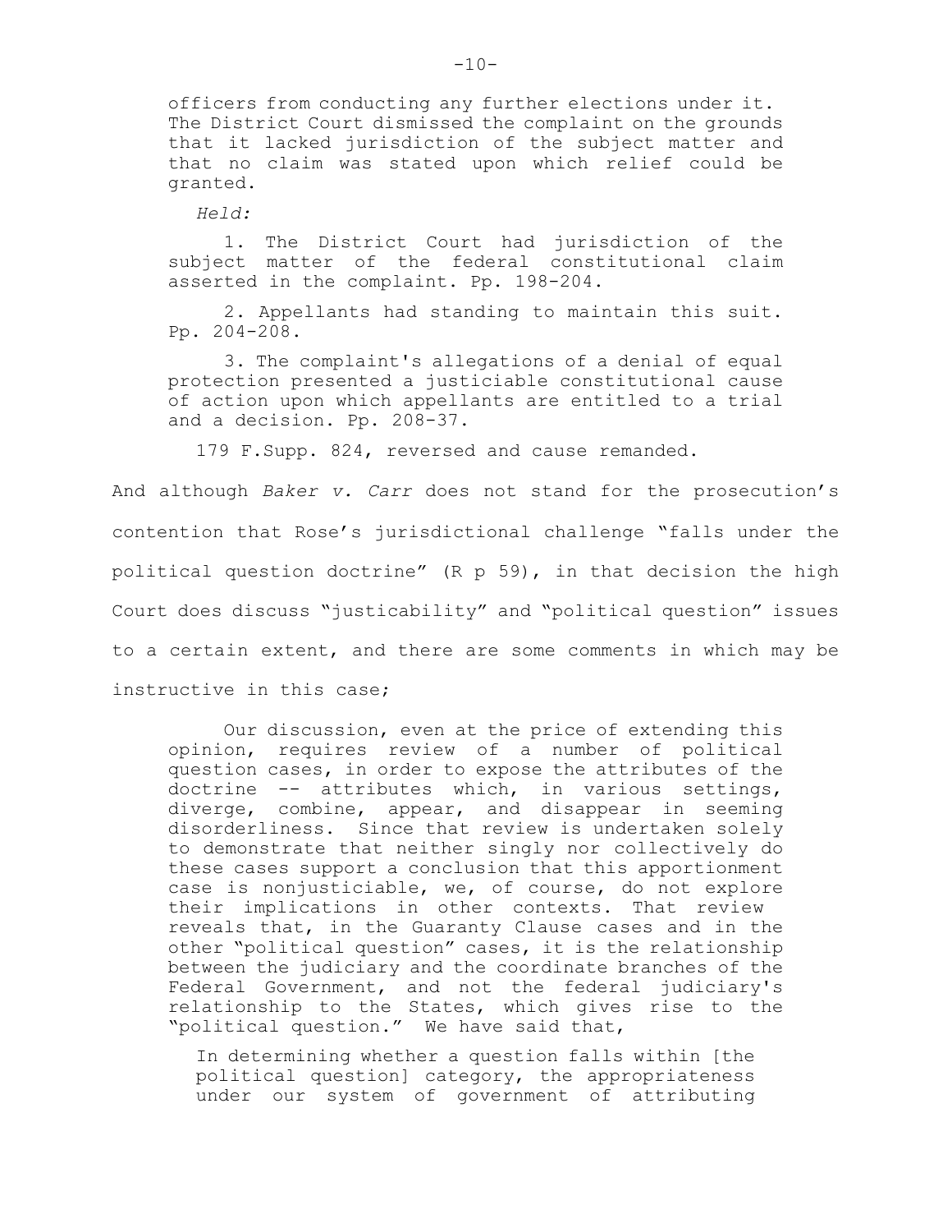officers from conducting any further elections under it. The District Court dismissed the complaint on the grounds that it lacked jurisdiction of the subject matter and that no claim was stated upon which relief could be granted.

*Held:*

1. The District Court had jurisdiction of the subject matter of the federal constitutional claim asserted in the complaint. Pp. 198-204.

2. Appellants had standing to maintain this suit. Pp. 204-208.

3. The complaint's allegations of a denial of equal protection presented a justiciable constitutional cause of action upon which appellants are entitled to a trial and a decision. Pp. 208-37.

179 F.Supp. 824, reversed and cause remanded.

 And although *Baker v. Carr* does not stand for the prosecution's contention that Rose's jurisdictional challenge "falls under the political question doctrine" (R p 59), in that decision the high Court does discuss "justicability" and "political question" issues to a certain extent, and there are some comments in which may be instructive in this case;

Our discussion, even at the price of extending this opinion, requires review of a number of political question cases, in order to expose the attributes of the doctrine -- attributes which, in various settings, diverge, combine, appear, and disappear in seeming disorderliness. Since that review is undertaken solely to demonstrate that neither singly nor collectively do these cases support a conclusion that this apportionment case is nonjusticiable, we, of course, do not explore their implications in other contexts. That review reveals that, in the Guaranty Clause cases and in the other "political question" cases, it is the relationship between the judiciary and the coordinate branches of the Federal Government, and not the federal judiciary's relationship to the States, which gives rise to the "political question." We have said that,

In determining whether a question falls within [the political question] category, the appropriateness under our system of government of attributing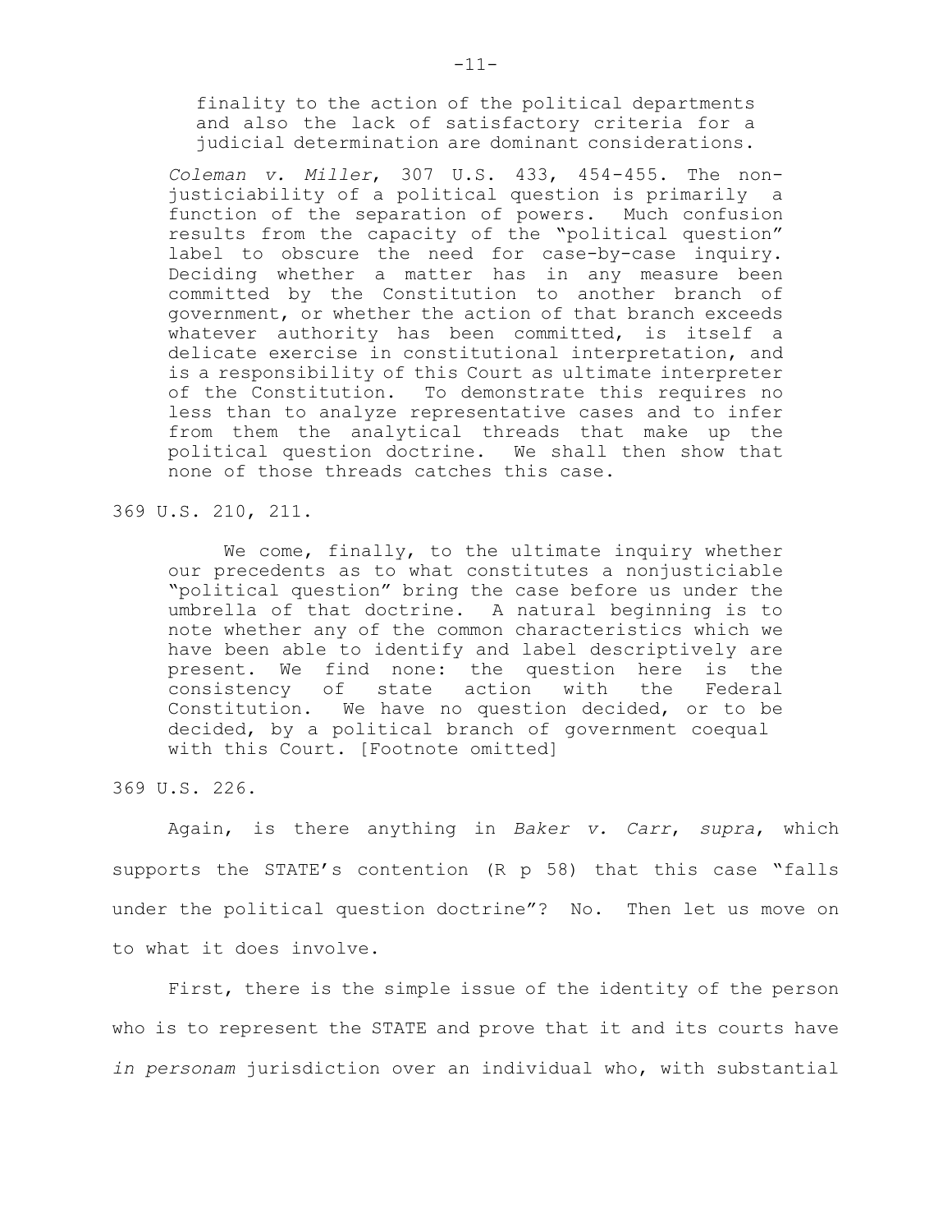finality to the action of the political departments and also the lack of satisfactory criteria for a judicial determination are dominant considerations.

*Coleman v. Miller*, 307 U.S. 433, 454-455. The nonjusticiability of a political question is primarily a function of the separation of powers. Much confusion results from the capacity of the "political question" label to obscure the need for case-by-case inquiry. Deciding whether a matter has in any measure been committed by the Constitution to another branch of government, or whether the action of that branch exceeds whatever authority has been committed, is itself a delicate exercise in constitutional interpretation, and is a responsibility of this Court as ultimate interpreter of the Constitution. To demonstrate this requires no less than to analyze representative cases and to infer from them the analytical threads that make up the political question doctrine. We shall then show that none of those threads catches this case.

369 U.S. 210, 211.

We come, finally, to the ultimate inquiry whether our precedents as to what constitutes a nonjusticiable "political question" bring the case before us under the umbrella of that doctrine. A natural beginning is to note whether any of the common characteristics which we have been able to identify and label descriptively are present. We find none: the question here is the consistency of state action with the Federal Constitution. We have no question decided, or to be decided, by a political branch of government coequal with this Court. [Footnote omitted]

369 U.S. 226.

Again, is there anything in *Baker v. Carr*, *supra*, which supports the STATE's contention (R p 58) that this case "falls under the political question doctrine"? No. Then let us move on to what it does involve.

First, there is the simple issue of the identity of the person who is to represent the STATE and prove that it and its courts have *in personam* jurisdiction over an individual who, with substantial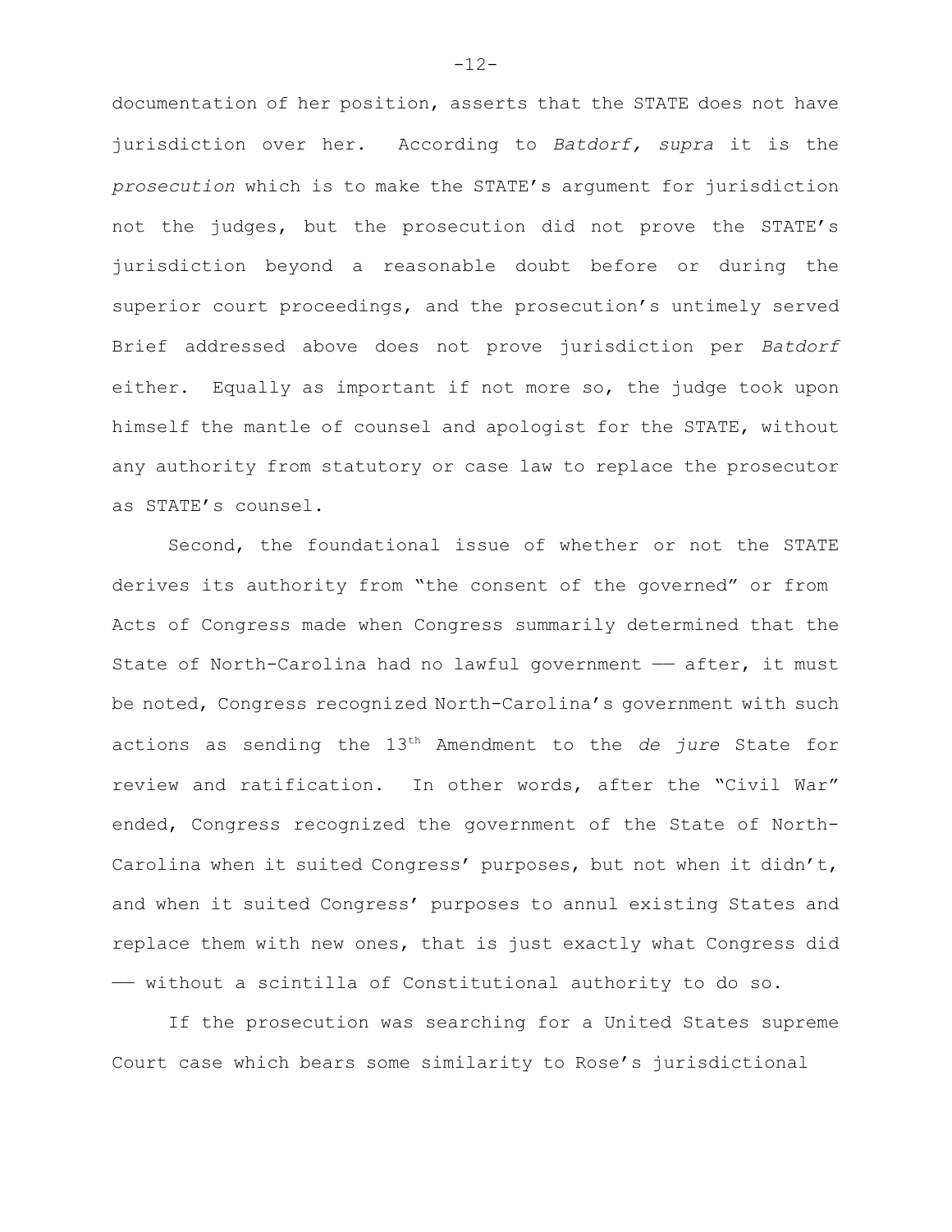documentation of her position, asserts that the STATE does not have jurisdiction over her. According to *Batdorf, supra* it is the *prosecution* which is to make the STATE's argument for jurisdiction not the judges, but the prosecution did not prove the STATE's jurisdiction beyond a reasonable doubt before or during the superior court proceedings, and the prosecution's untimely served Brief addressed above does not prove jurisdiction per *Batdorf* either. Equally as important if not more so, the judge took upon himself the mantle of counsel and apologist for the STATE, without any authority from statutory or case law to replace the prosecutor as STATE's counsel.

Second, the foundational issue of whether or not the STATE derives its authority from "the consent of the governed" or from Acts of Congress made when Congress summarily determined that the State of North-Carolina had no lawful government  $-$  after, it must be noted, Congress recognized North-Carolina's government with such actions as sending the 13<sup>th</sup> Amendment to the *de jure* State for review and ratification. In other words, after the "Civil War" ended, Congress recognized the government of the State of North-Carolina when it suited Congress' purposes, but not when it didn't, and when it suited Congress' purposes to annul existing States and replace them with new ones, that is just exactly what Congress did —— without a scintilla of Constitutional authority to do so.

If the prosecution was searching for a United States supreme Court case which bears some similarity to Rose's jurisdictional

-12-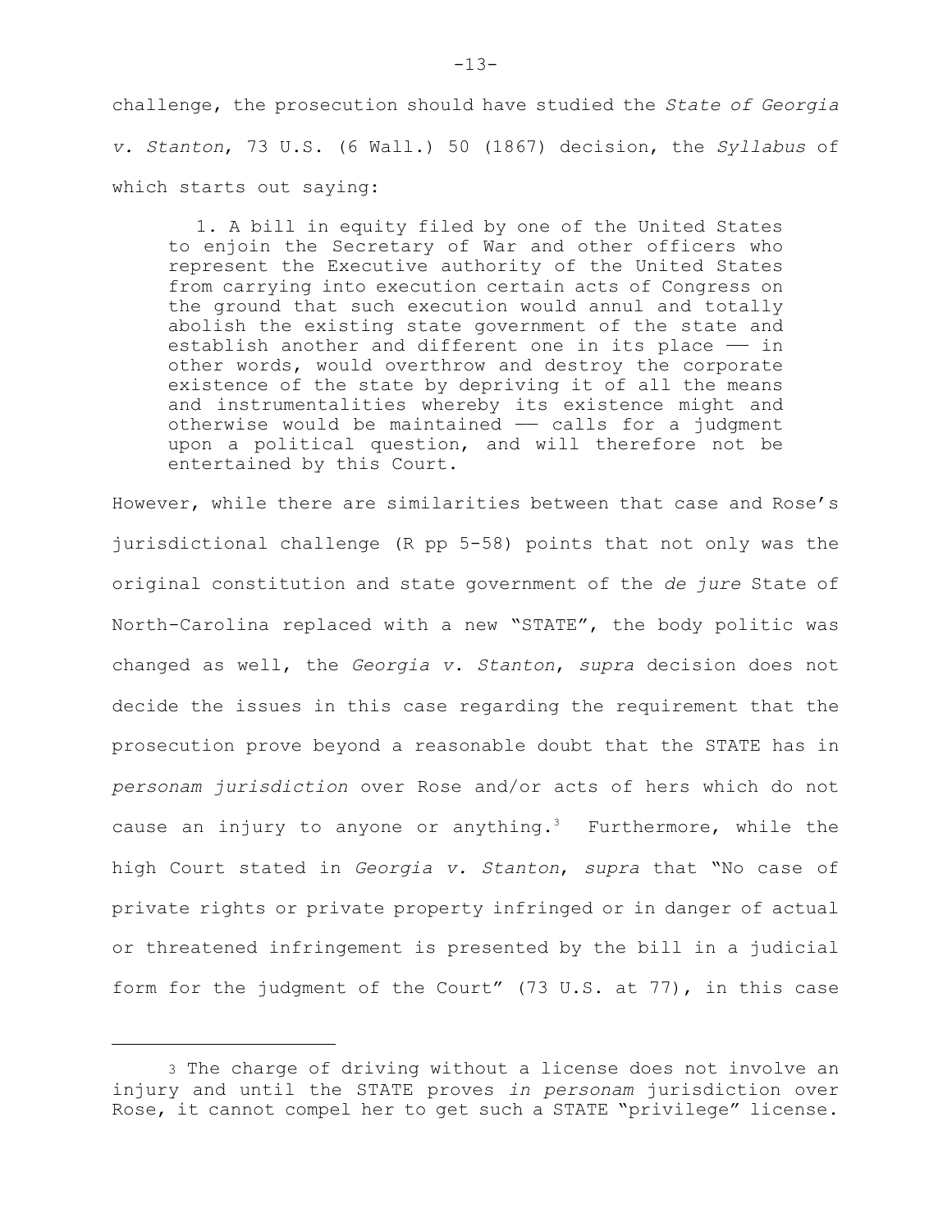challenge, the prosecution should have studied the *State of Georgia v. Stanton*, 73 U.S. (6 Wall.) 50 (1867) decision, the *Syllabus* of which starts out saying:

1. A bill in equity filed by one of the United States to enjoin the Secretary of War and other officers who represent the Executive authority of the United States from carrying into execution certain acts of Congress on the ground that such execution would annul and totally abolish the existing state government of the state and establish another and different one in its place  $-$  in other words, would overthrow and destroy the corporate existence of the state by depriving it of all the means and instrumentalities whereby its existence might and otherwise would be maintained  $-$  calls for a judgment upon a political question, and will therefore not be entertained by this Court.

However, while there are similarities between that case and Rose's jurisdictional challenge (R pp 5-58) points that not only was the original constitution and state government of the *de jure* State of North-Carolina replaced with a new "STATE", the body politic was changed as well, the *Georgia v. Stanton*, *supra* decision does not decide the issues in this case regarding the requirement that the prosecution prove beyond a reasonable doubt that the STATE has in *personam jurisdiction* over Rose and/or acts of hers which do not cause an injury to anyone or anything.<sup>3</sup> Furthermore, while the high Court stated in *Georgia v. Stanton*, *supra* that "No case of private rights or private property infringed or in danger of actual or threatened infringement is presented by the bill in a judicial form for the judgment of the Court" (73 U.S. at 77), in this case

<sup>3</sup> The charge of driving without a license does not involve an injury and until the STATE proves *in personam* jurisdiction over Rose, it cannot compel her to get such a STATE "privilege" license.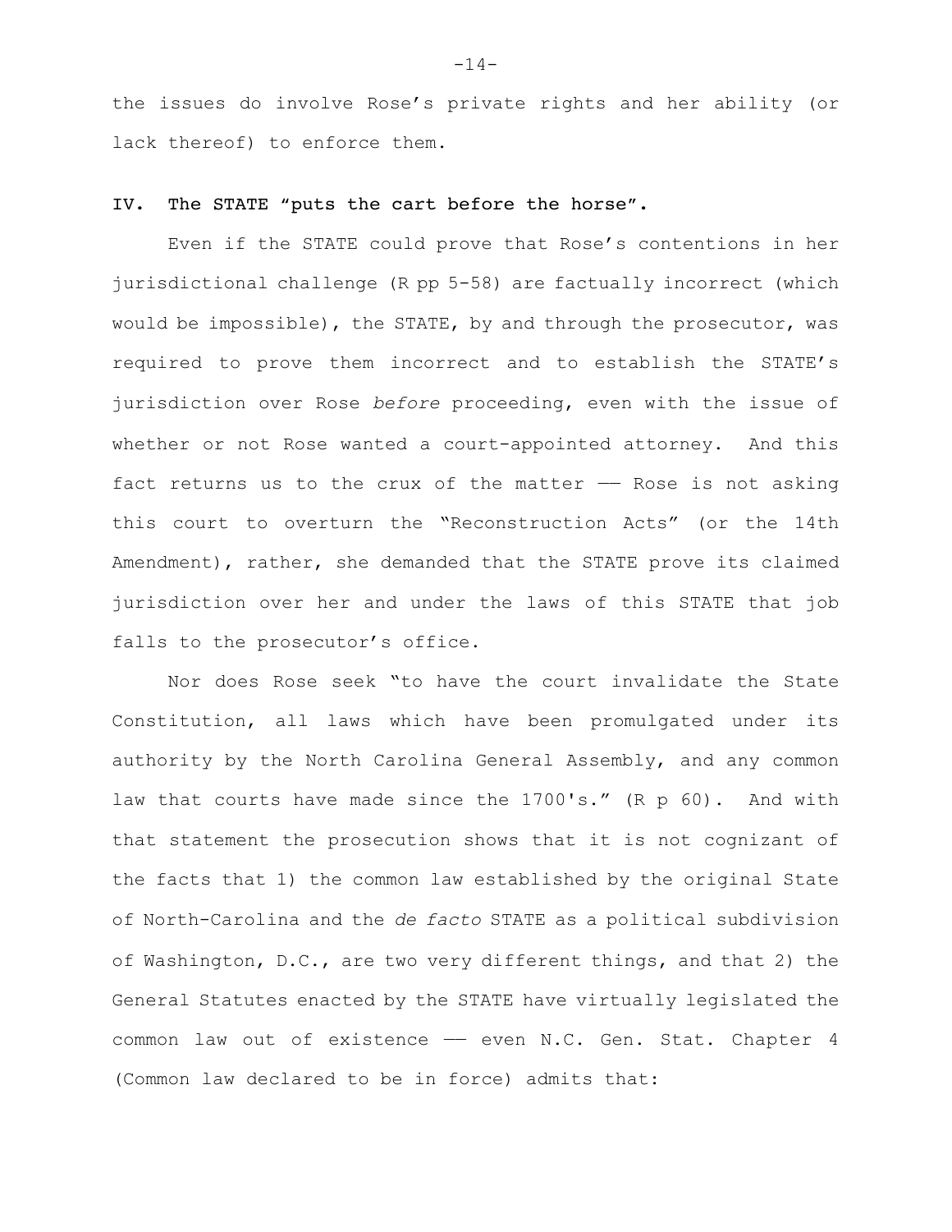the issues do involve Rose's private rights and her ability (or lack thereof) to enforce them.

## IV. The STATE "puts the cart before the horse".

Even if the STATE could prove that Rose's contentions in her jurisdictional challenge (R pp 5-58) are factually incorrect (which would be impossible), the STATE, by and through the prosecutor, was required to prove them incorrect and to establish the STATE's jurisdiction over Rose *before* proceeding, even with the issue of whether or not Rose wanted a court-appointed attorney. And this fact returns us to the crux of the matter —— Rose is not asking this court to overturn the "Reconstruction Acts" (or the 14th Amendment), rather, she demanded that the STATE prove its claimed jurisdiction over her and under the laws of this STATE that job falls to the prosecutor's office.

Nor does Rose seek "to have the court invalidate the State Constitution, all laws which have been promulgated under its authority by the North Carolina General Assembly, and any common law that courts have made since the 1700's." (R p 60). And with that statement the prosecution shows that it is not cognizant of the facts that 1) the common law established by the original State of North-Carolina and the *de facto* STATE as a political subdivision of Washington, D.C., are two very different things, and that 2) the General Statutes enacted by the STATE have virtually legislated the common law out of existence - even N.C. Gen. Stat. Chapter 4 (Common law declared to be in force) admits that: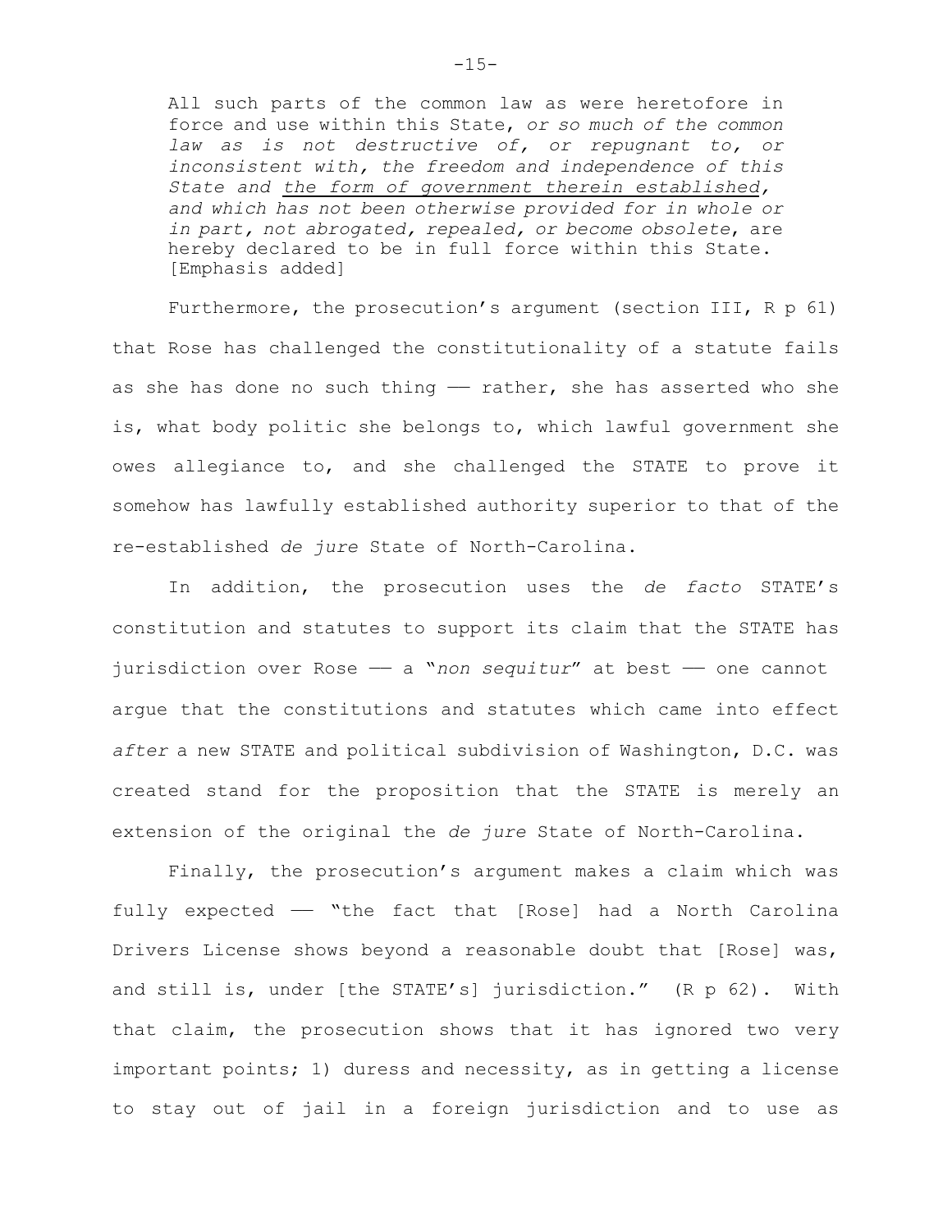All such parts of the common law as were heretofore in force and use within this State, *or so much of the common law as is not destructive of, or repugnant to, or inconsistent with, the freedom and independence of this State and the form of government therein established, and which has not been otherwise provided for in whole or in part, not abrogated, repealed, or become obsolete*, are hereby declared to be in full force within this State. [Emphasis added]

Furthermore, the prosecution's argument (section III, R p 61) that Rose has challenged the constitutionality of a statute fails as she has done no such thing  $-$  rather, she has asserted who she is, what body politic she belongs to, which lawful government she owes allegiance to, and she challenged the STATE to prove it somehow has lawfully established authority superior to that of the re-established *de jure* State of North-Carolina.

In addition, the prosecution uses the *de facto* STATE's constitution and statutes to support its claim that the STATE has jurisdiction over Rose —— a "*non sequitur*" at best —— one cannot argue that the constitutions and statutes which came into effect *after* a new STATE and political subdivision of Washington, D.C. was created stand for the proposition that the STATE is merely an extension of the original the *de jure* State of North-Carolina.

Finally, the prosecution's argument makes a claim which was fully expected  $-$  "the fact that [Rose] had a North Carolina Drivers License shows beyond a reasonable doubt that [Rose] was, and still is, under [the STATE's] jurisdiction." (R p 62). With that claim, the prosecution shows that it has ignored two very important points; 1) duress and necessity, as in getting a license to stay out of jail in a foreign jurisdiction and to use as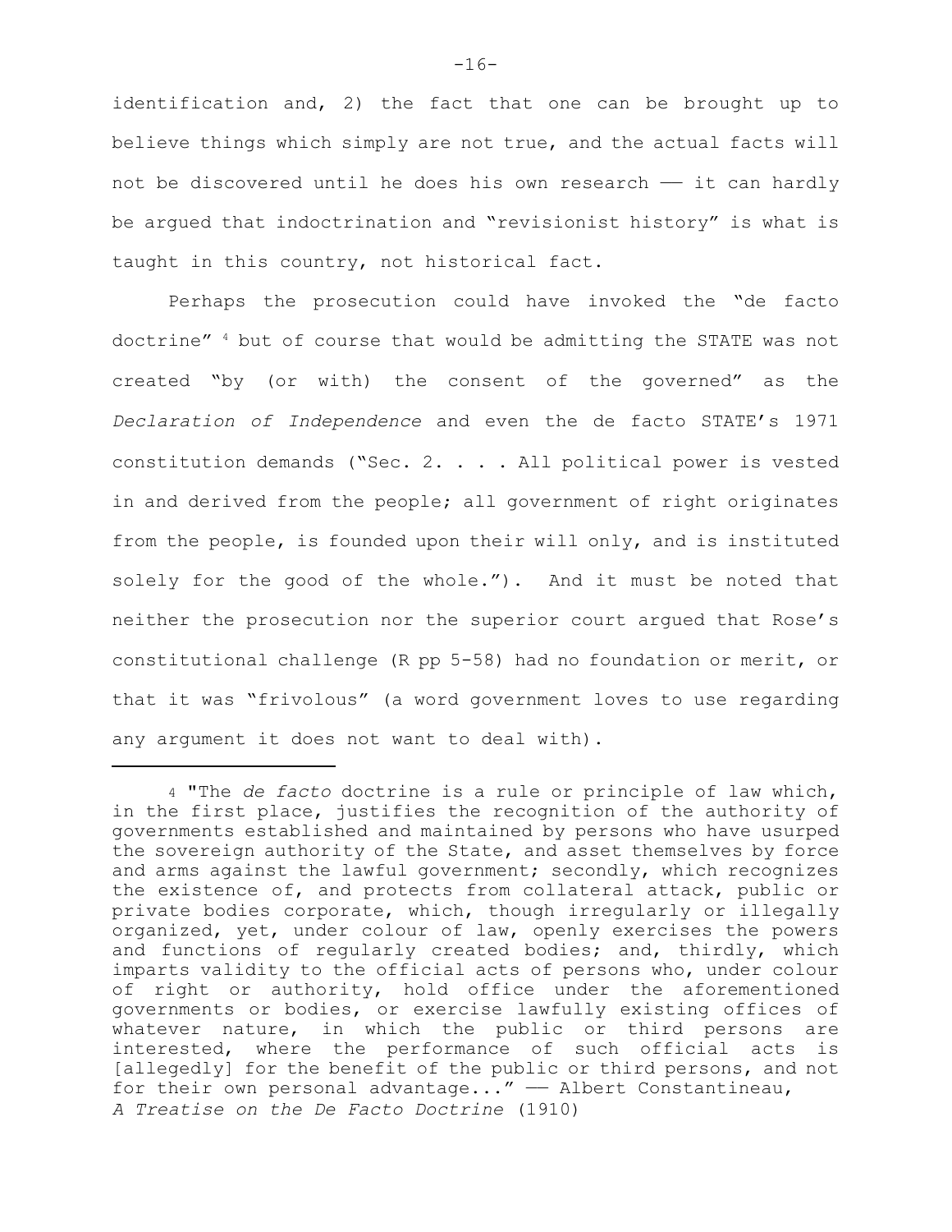identification and, 2) the fact that one can be brought up to believe things which simply are not true, and the actual facts will not be discovered until he does his own research —— it can hardly be argued that indoctrination and "revisionist history" is what is taught in this country, not historical fact.

Perhaps the prosecution could have invoked the "de facto doctrine"  $4$  but of course that would be admitting the STATE was not created "by (or with) the consent of the governed" as the *Declaration of Independence* and even the de facto STATE's 1971 constitution demands ("Sec. 2. . . . All political power is vested in and derived from the people; all government of right originates from the people, is founded upon their will only, and is instituted solely for the good of the whole."). And it must be noted that neither the prosecution nor the superior court argued that Rose's constitutional challenge (R pp 5-58) had no foundation or merit, or that it was "frivolous" (a word government loves to use regarding any argument it does not want to deal with).

<sup>4</sup> "The *de facto* doctrine is a rule or principle of law which, in the first place, justifies the recognition of the authority of governments established and maintained by persons who have usurped the sovereign authority of the State, and asset themselves by force and arms against the lawful government; secondly, which recognizes the existence of, and protects from collateral attack, public or private bodies corporate, which, though irregularly or illegally organized, yet, under colour of law, openly exercises the powers and functions of regularly created bodies; and, thirdly, which imparts validity to the official acts of persons who, under colour of right or authority, hold office under the aforementioned governments or bodies, or exercise lawfully existing offices of whatever nature, in which the public or third persons are interested, where the performance of such official acts is [allegedly] for the benefit of the public or third persons, and not for their own personal advantage..."  $-$  Albert Constantineau, *A Treatise on the De Facto Doctrine* (1910)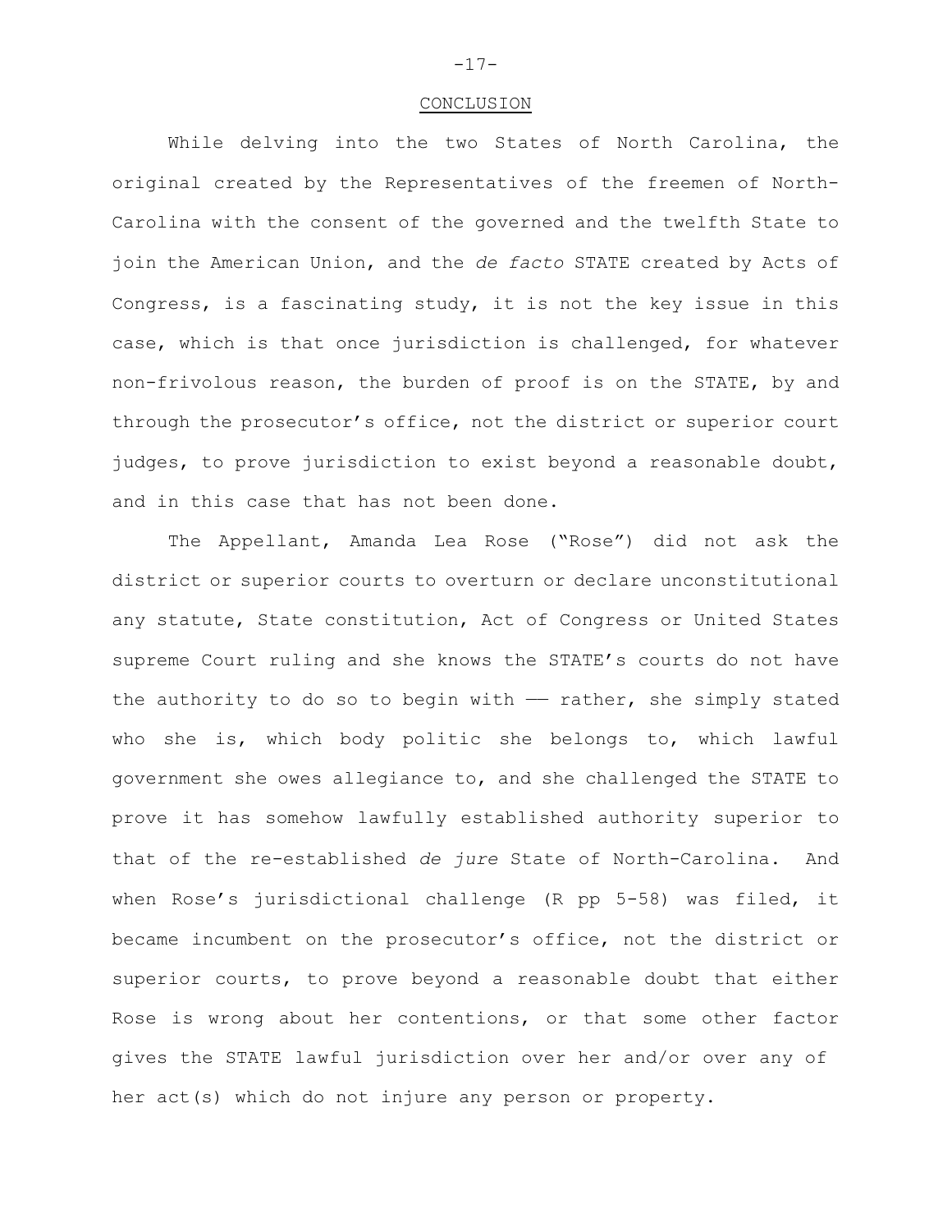#### CONCLUSION

While delving into the two States of North Carolina, the original created by the Representatives of the freemen of North-Carolina with the consent of the governed and the twelfth State to join the American Union, and the *de facto* STATE created by Acts of Congress, is a fascinating study, it is not the key issue in this case, which is that once jurisdiction is challenged, for whatever non-frivolous reason, the burden of proof is on the STATE, by and through the prosecutor's office, not the district or superior court judges, to prove jurisdiction to exist beyond a reasonable doubt, and in this case that has not been done.

The Appellant, Amanda Lea Rose ("Rose") did not ask the district or superior courts to overturn or declare unconstitutional any statute, State constitution, Act of Congress or United States supreme Court ruling and she knows the STATE's courts do not have the authority to do so to begin with  $-$  rather, she simply stated who she is, which body politic she belongs to, which lawful government she owes allegiance to, and she challenged the STATE to prove it has somehow lawfully established authority superior to that of the re-established *de jure* State of North-Carolina. And when Rose's jurisdictional challenge (R pp 5-58) was filed, it became incumbent on the prosecutor's office, not the district or superior courts, to prove beyond a reasonable doubt that either Rose is wrong about her contentions, or that some other factor gives the STATE lawful jurisdiction over her and/or over any of her act(s) which do not injure any person or property.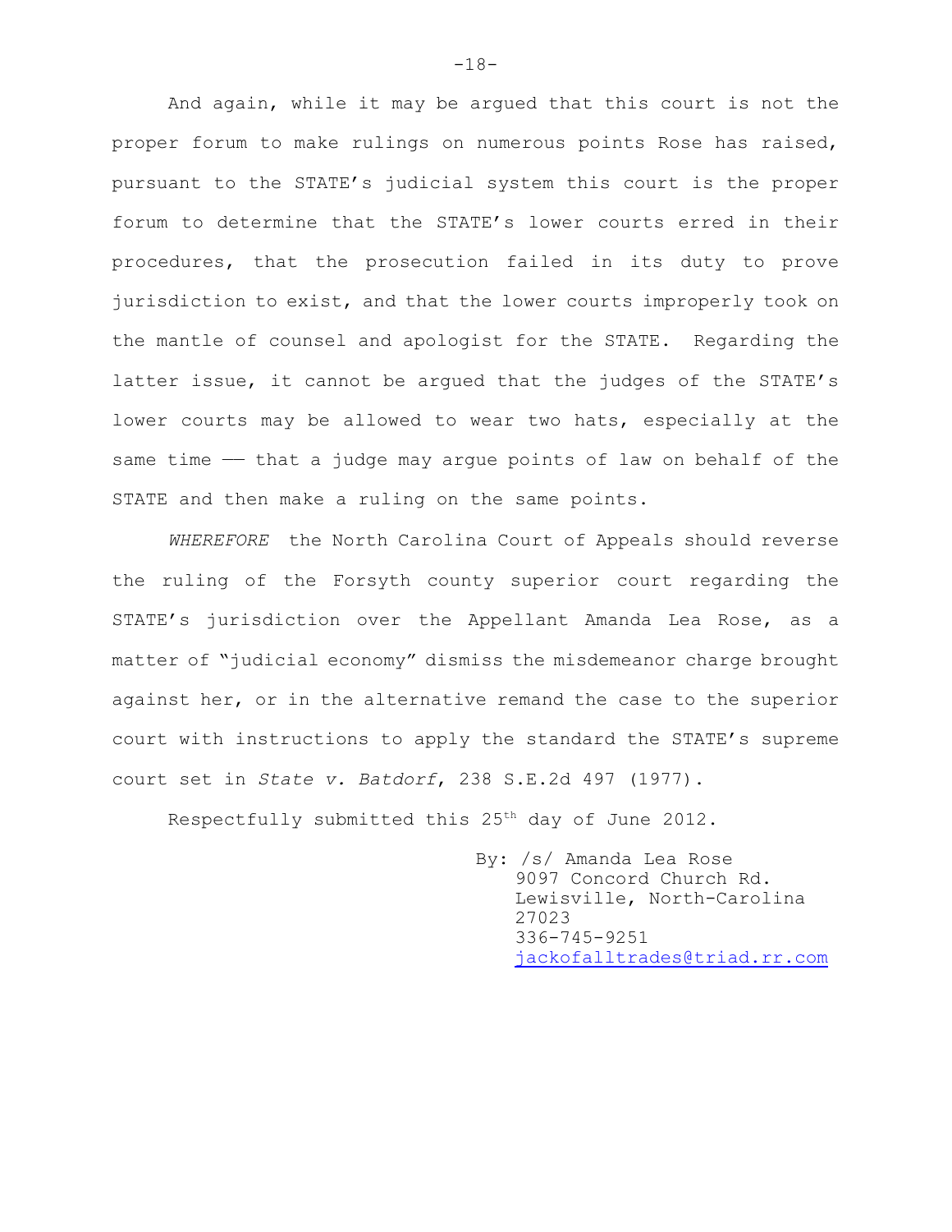And again, while it may be argued that this court is not the proper forum to make rulings on numerous points Rose has raised, pursuant to the STATE's judicial system this court is the proper forum to determine that the STATE's lower courts erred in their procedures, that the prosecution failed in its duty to prove jurisdiction to exist, and that the lower courts improperly took on the mantle of counsel and apologist for the STATE. Regarding the latter issue, it cannot be argued that the judges of the STATE's lower courts may be allowed to wear two hats, especially at the same time — that a judge may argue points of law on behalf of the STATE and then make a ruling on the same points.

*WHEREFORE* the North Carolina Court of Appeals should reverse the ruling of the Forsyth county superior court regarding the STATE's jurisdiction over the Appellant Amanda Lea Rose, as a matter of "judicial economy" dismiss the misdemeanor charge brought against her, or in the alternative remand the case to the superior court with instructions to apply the standard the STATE's supreme court set in *State v. Batdorf*, 238 S.E.2d 497 (1977).

Respectfully submitted this  $25<sup>th</sup>$  day of June 2012.

By: /s/ Amanda Lea Rose 9097 Concord Church Rd. Lewisville, North-Carolina 27023 336-745-9251 [jackofalltrades@triad.rr.com](mailto:jackofalltrades@triad.rr.com)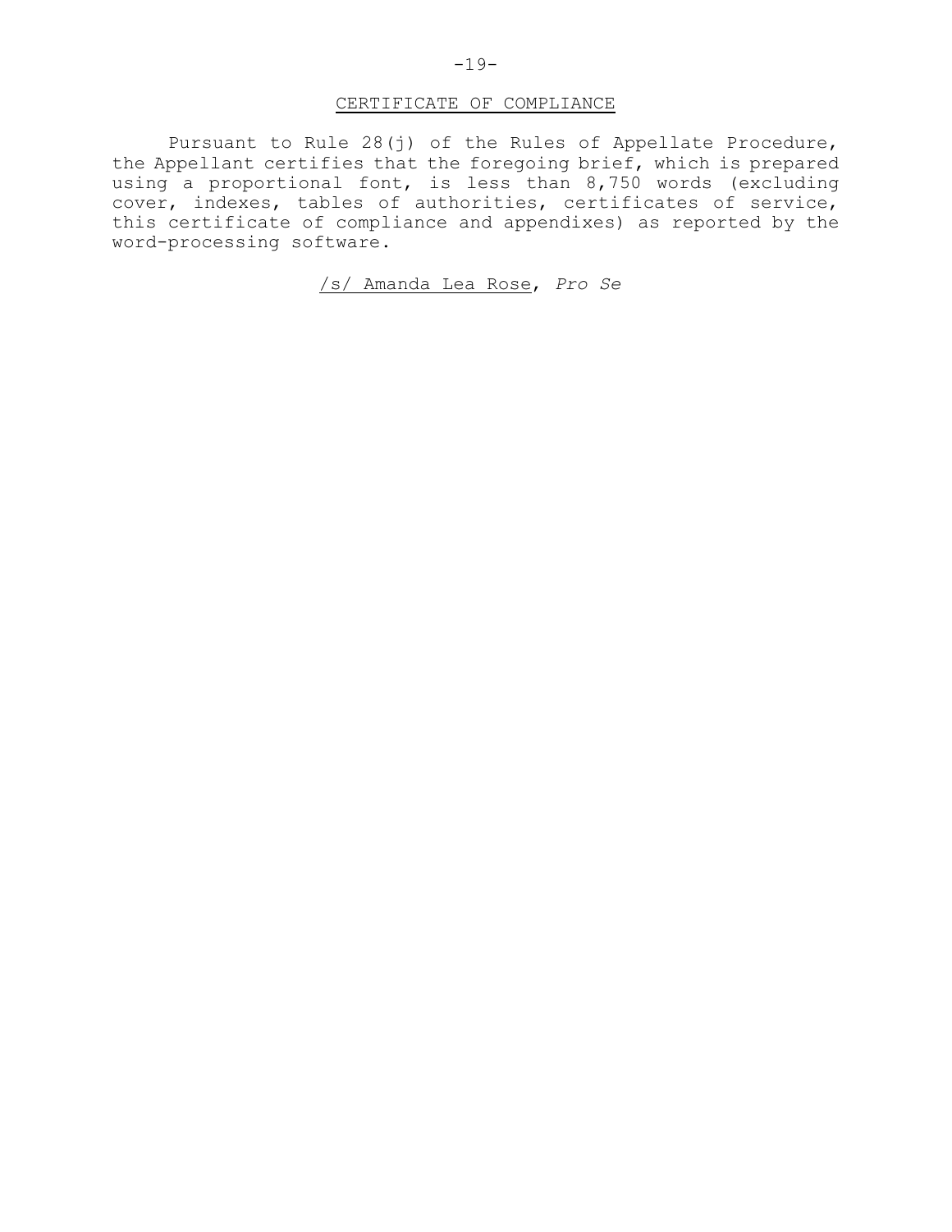# CERTIFICATE OF COMPLIANCE

Pursuant to Rule 28(j) of the Rules of Appellate Procedure, the Appellant certifies that the foregoing brief, which is prepared using a proportional font, is less than 8,750 words (excluding cover, indexes, tables of authorities, certificates of service, this certificate of compliance and appendixes) as reported by the word-processing software.

# /s/ Amanda Lea Rose, *Pro Se*